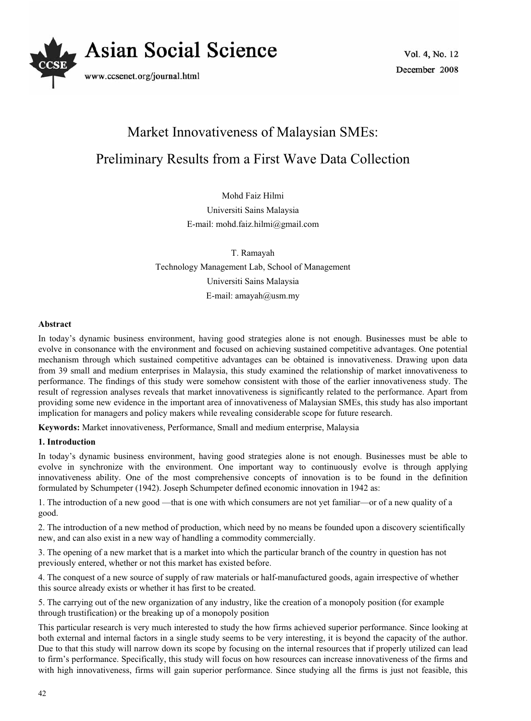

# Market Innovativeness of Malaysian SMEs: Preliminary Results from a First Wave Data Collection

Mohd Faiz Hilmi Universiti Sains Malaysia E-mail: mohd.faiz.hilmi@gmail.com

T. Ramayah Technology Management Lab, School of Management Universiti Sains Malaysia E-mail: amayah@usm.my

# **Abstract**

In today's dynamic business environment, having good strategies alone is not enough. Businesses must be able to evolve in consonance with the environment and focused on achieving sustained competitive advantages. One potential mechanism through which sustained competitive advantages can be obtained is innovativeness. Drawing upon data from 39 small and medium enterprises in Malaysia, this study examined the relationship of market innovativeness to performance. The findings of this study were somehow consistent with those of the earlier innovativeness study. The result of regression analyses reveals that market innovativeness is significantly related to the performance. Apart from providing some new evidence in the important area of innovativeness of Malaysian SMEs, this study has also important implication for managers and policy makers while revealing considerable scope for future research.

**Keywords:** Market innovativeness, Performance, Small and medium enterprise, Malaysia

# **1. Introduction**

In today's dynamic business environment, having good strategies alone is not enough. Businesses must be able to evolve in synchronize with the environment. One important way to continuously evolve is through applying innovativeness ability. One of the most comprehensive concepts of innovation is to be found in the definition formulated by Schumpeter (1942). Joseph Schumpeter defined economic innovation in 1942 as:

1. The introduction of a new good —that is one with which consumers are not yet familiar—or of a new quality of a good.

2. The introduction of a new method of production, which need by no means be founded upon a discovery scientifically new, and can also exist in a new way of handling a commodity commercially.

3. The opening of a new market that is a market into which the particular branch of the country in question has not previously entered, whether or not this market has existed before.

4. The conquest of a new source of supply of raw materials or half-manufactured goods, again irrespective of whether this source already exists or whether it has first to be created.

5. The carrying out of the new organization of any industry, like the creation of a monopoly position (for example through trustification) or the breaking up of a monopoly position

This particular research is very much interested to study the how firms achieved superior performance. Since looking at both external and internal factors in a single study seems to be very interesting, it is beyond the capacity of the author. Due to that this study will narrow down its scope by focusing on the internal resources that if properly utilized can lead to firm's performance. Specifically, this study will focus on how resources can increase innovativeness of the firms and with high innovativeness, firms will gain superior performance. Since studying all the firms is just not feasible, this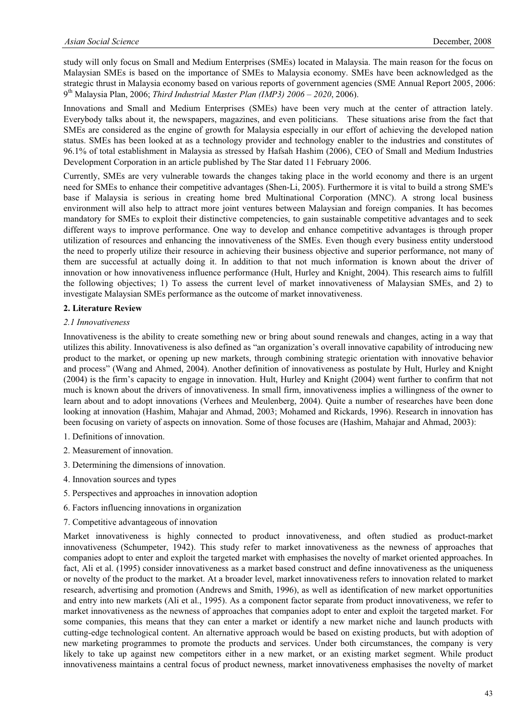study will only focus on Small and Medium Enterprises (SMEs) located in Malaysia. The main reason for the focus on Malaysian SMEs is based on the importance of SMEs to Malaysia economy. SMEs have been acknowledged as the strategic thrust in Malaysia economy based on various reports of government agencies (SME Annual Report 2005, 2006: 9th Malaysia Plan, 2006; *Third Industrial Master Plan (IMP3) 2006 – 2020*, 2006).

Innovations and Small and Medium Enterprises (SMEs) have been very much at the center of attraction lately. Everybody talks about it, the newspapers, magazines, and even politicians. These situations arise from the fact that SMEs are considered as the engine of growth for Malaysia especially in our effort of achieving the developed nation status. SMEs has been looked at as a technology provider and technology enabler to the industries and constitutes of 96.1% of total establishment in Malaysia as stressed by Hafsah Hashim (2006), CEO of Small and Medium Industries Development Corporation in an article published by The Star dated 11 February 2006.

Currently, SMEs are very vulnerable towards the changes taking place in the world economy and there is an urgent need for SMEs to enhance their competitive advantages (Shen-Li, 2005). Furthermore it is vital to build a strong SME's base if Malaysia is serious in creating home bred Multinational Corporation (MNC). A strong local business environment will also help to attract more joint ventures between Malaysian and foreign companies. It has becomes mandatory for SMEs to exploit their distinctive competencies, to gain sustainable competitive advantages and to seek different ways to improve performance. One way to develop and enhance competitive advantages is through proper utilization of resources and enhancing the innovativeness of the SMEs. Even though every business entity understood the need to properly utilize their resource in achieving their business objective and superior performance, not many of them are successful at actually doing it. In addition to that not much information is known about the driver of innovation or how innovativeness influence performance (Hult, Hurley and Knight, 2004). This research aims to fulfill the following objectives; 1) To assess the current level of market innovativeness of Malaysian SMEs, and 2) to investigate Malaysian SMEs performance as the outcome of market innovativeness.

# **2. Literature Review**

#### *2.1 Innovativeness*

Innovativeness is the ability to create something new or bring about sound renewals and changes, acting in a way that utilizes this ability. Innovativeness is also defined as "an organization's overall innovative capability of introducing new product to the market, or opening up new markets, through combining strategic orientation with innovative behavior and process" (Wang and Ahmed, 2004). Another definition of innovativeness as postulate by Hult, Hurley and Knight (2004) is the firm's capacity to engage in innovation. Hult, Hurley and Knight (2004) went further to confirm that not much is known about the drivers of innovativeness. In small firm, innovativeness implies a willingness of the owner to learn about and to adopt innovations (Verhees and Meulenberg, 2004). Quite a number of researches have been done looking at innovation (Hashim, Mahajar and Ahmad, 2003; Mohamed and Rickards, 1996). Research in innovation has been focusing on variety of aspects on innovation. Some of those focuses are (Hashim, Mahajar and Ahmad, 2003):

- 1. Definitions of innovation.
- 2. Measurement of innovation.
- 3. Determining the dimensions of innovation.
- 4. Innovation sources and types
- 5. Perspectives and approaches in innovation adoption
- 6. Factors influencing innovations in organization
- 7. Competitive advantageous of innovation

Market innovativeness is highly connected to product innovativeness, and often studied as product-market innovativeness (Schumpeter, 1942). This study refer to market innovativeness as the newness of approaches that companies adopt to enter and exploit the targeted market with emphasises the novelty of market oriented approaches. In fact, Ali et al. (1995) consider innovativeness as a market based construct and define innovativeness as the uniqueness or novelty of the product to the market. At a broader level, market innovativeness refers to innovation related to market research, advertising and promotion (Andrews and Smith, 1996), as well as identification of new market opportunities and entry into new markets (Ali et al., 1995). As a component factor separate from product innovativeness, we refer to market innovativeness as the newness of approaches that companies adopt to enter and exploit the targeted market. For some companies, this means that they can enter a market or identify a new market niche and launch products with cutting-edge technological content. An alternative approach would be based on existing products, but with adoption of new marketing programmes to promote the products and services. Under both circumstances, the company is very likely to take up against new competitors either in a new market, or an existing market segment. While product innovativeness maintains a central focus of product newness, market innovativeness emphasises the novelty of market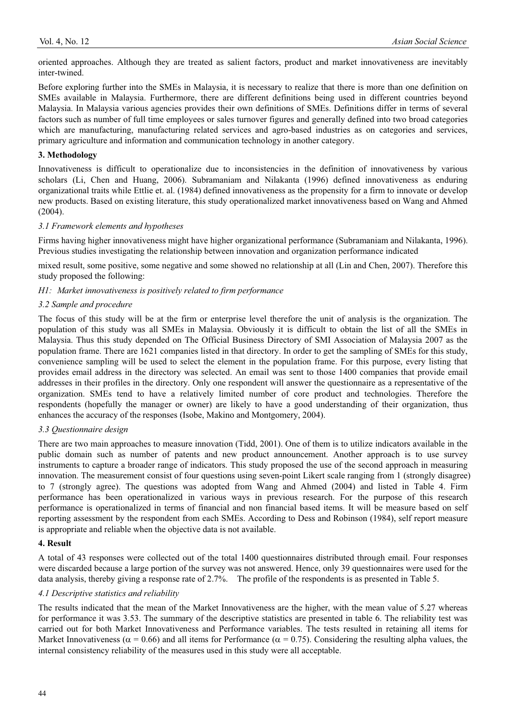oriented approaches. Although they are treated as salient factors, product and market innovativeness are inevitably inter-twined.

Before exploring further into the SMEs in Malaysia, it is necessary to realize that there is more than one definition on SMEs available in Malaysia. Furthermore, there are different definitions being used in different countries beyond Malaysia. In Malaysia various agencies provides their own definitions of SMEs. Definitions differ in terms of several factors such as number of full time employees or sales turnover figures and generally defined into two broad categories which are manufacturing, manufacturing related services and agro-based industries as on categories and services, primary agriculture and information and communication technology in another category.

### **3. Methodology**

Innovativeness is difficult to operationalize due to inconsistencies in the definition of innovativeness by various scholars (Li, Chen and Huang, 2006). Subramaniam and Nilakanta (1996) defined innovativeness as enduring organizational traits while Ettlie et. al. (1984) defined innovativeness as the propensity for a firm to innovate or develop new products. Based on existing literature, this study operationalized market innovativeness based on Wang and Ahmed (2004).

# *3.1 Framework elements and hypotheses*

Firms having higher innovativeness might have higher organizational performance (Subramaniam and Nilakanta, 1996). Previous studies investigating the relationship between innovation and organization performance indicated

mixed result, some positive, some negative and some showed no relationship at all (Lin and Chen, 2007). Therefore this study proposed the following:

# *H1: Market innovativeness is positively related to firm performance*

# *3.2 Sample and procedure*

The focus of this study will be at the firm or enterprise level therefore the unit of analysis is the organization. The population of this study was all SMEs in Malaysia. Obviously it is difficult to obtain the list of all the SMEs in Malaysia. Thus this study depended on The Official Business Directory of SMI Association of Malaysia 2007 as the population frame. There are 1621 companies listed in that directory. In order to get the sampling of SMEs for this study, convenience sampling will be used to select the element in the population frame. For this purpose, every listing that provides email address in the directory was selected. An email was sent to those 1400 companies that provide email addresses in their profiles in the directory. Only one respondent will answer the questionnaire as a representative of the organization. SMEs tend to have a relatively limited number of core product and technologies. Therefore the respondents (hopefully the manager or owner) are likely to have a good understanding of their organization, thus enhances the accuracy of the responses (Isobe, Makino and Montgomery, 2004).

#### *3.3 Questionnaire design*

There are two main approaches to measure innovation (Tidd, 2001). One of them is to utilize indicators available in the public domain such as number of patents and new product announcement. Another approach is to use survey instruments to capture a broader range of indicators. This study proposed the use of the second approach in measuring innovation. The measurement consist of four questions using seven-point Likert scale ranging from 1 (strongly disagree) to 7 (strongly agree). The questions was adopted from Wang and Ahmed (2004) and listed in Table 4. Firm performance has been operationalized in various ways in previous research. For the purpose of this research performance is operationalized in terms of financial and non financial based items. It will be measure based on self reporting assessment by the respondent from each SMEs. According to Dess and Robinson (1984), self report measure is appropriate and reliable when the objective data is not available.

#### **4. Result**

A total of 43 responses were collected out of the total 1400 questionnaires distributed through email. Four responses were discarded because a large portion of the survey was not answered. Hence, only 39 questionnaires were used for the data analysis, thereby giving a response rate of 2.7%. The profile of the respondents is as presented in Table 5.

#### *4.1 Descriptive statistics and reliability*

The results indicated that the mean of the Market Innovativeness are the higher, with the mean value of 5.27 whereas for performance it was 3.53. The summary of the descriptive statistics are presented in table 6. The reliability test was carried out for both Market Innovativeness and Performance variables. The tests resulted in retaining all items for Market Innovativeness ( $\alpha = 0.66$ ) and all items for Performance ( $\alpha = 0.75$ ). Considering the resulting alpha values, the internal consistency reliability of the measures used in this study were all acceptable.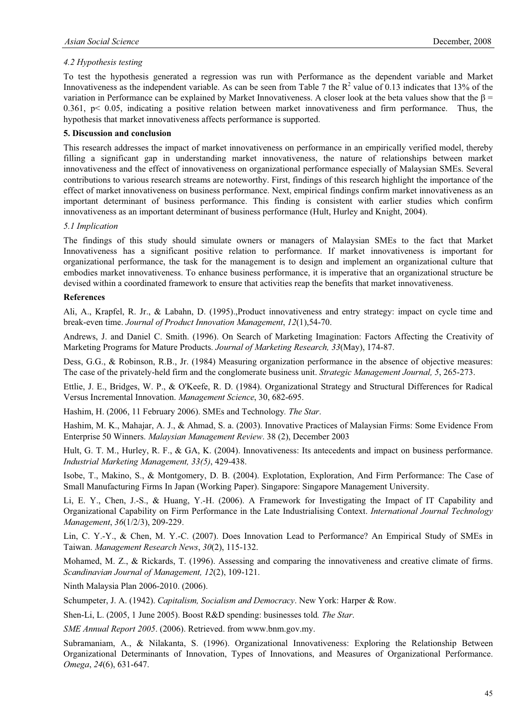# *4.2 Hypothesis testing*

To test the hypothesis generated a regression was run with Performance as the dependent variable and Market Innovativeness as the independent variable. As can be seen from Table 7 the  $R^2$  value of 0.13 indicates that 13% of the variation in Performance can be explained by Market Innovativeness. A closer look at the beta values show that the  $\beta$  = 0.361, p< 0.05, indicating a positive relation between market innovativeness and firm performance. Thus, the hypothesis that market innovativeness affects performance is supported.

### **5. Discussion and conclusion**

This research addresses the impact of market innovativeness on performance in an empirically verified model, thereby filling a significant gap in understanding market innovativeness, the nature of relationships between market innovativeness and the effect of innovativeness on organizational performance especially of Malaysian SMEs. Several contributions to various research streams are noteworthy. First, findings of this research highlight the importance of the effect of market innovativeness on business performance. Next, empirical findings confirm market innovativeness as an important determinant of business performance. This finding is consistent with earlier studies which confirm innovativeness as an important determinant of business performance (Hult, Hurley and Knight, 2004).

#### *5.1 Implication*

The findings of this study should simulate owners or managers of Malaysian SMEs to the fact that Market Innovativeness has a significant positive relation to performance. If market innovativeness is important for organizational performance, the task for the management is to design and implement an organizational culture that embodies market innovativeness. To enhance business performance, it is imperative that an organizational structure be devised within a coordinated framework to ensure that activities reap the benefits that market innovativeness.

#### **References**

Ali, A., Krapfel, R. Jr., & Labahn, D. (1995).,Product innovativeness and entry strategy: impact on cycle time and break-even time. *Journal of Product Innovation Management*, *12*(1),54-70.

Andrews, J. and Daniel C. Smith. (1996). On Search of Marketing Imagination: Factors Affecting the Creativity of Marketing Programs for Mature Products. *Journal of Marketing Research, 33*(May), 174-87.

Dess, G.G., & Robinson, R.B., Jr. (1984) Measuring organization performance in the absence of objective measures: The case of the privately-held firm and the conglomerate business unit. *Strategic Management Journal, 5*, 265-273.

Ettlie, J. E., Bridges, W. P., & O'Keefe, R. D. (1984). Organizational Strategy and Structural Differences for Radical Versus Incremental Innovation. *Management Science*, 30, 682-695.

Hashim, H. (2006, 11 February 2006). SMEs and Technology*. The Star*.

Hashim, M. K., Mahajar, A. J., & Ahmad, S. a. (2003). Innovative Practices of Malaysian Firms: Some Evidence From Enterprise 50 Winners. *Malaysian Management Review*. 38 (2), December 2003

Hult, G. T. M., Hurley, R. F., & GA, K. (2004). Innovativeness: Its antecedents and impact on business performance. *Industrial Marketing Management, 33(5)*, 429-438.

Isobe, T., Makino, S., & Montgomery, D. B. (2004). Explotation, Exploration, And Firm Performance: The Case of Small Manufacturing Firms In Japan (Working Paper). Singapore: Singapore Management University.

Li, E. Y., Chen, J.-S., & Huang, Y.-H. (2006). A Framework for Investigating the Impact of IT Capability and Organizational Capability on Firm Performance in the Late Industrialising Context. *International Journal Technology Management*, *36*(1/2/3), 209-229.

Lin, C. Y.-Y., & Chen, M. Y.-C. (2007). Does Innovation Lead to Performance? An Empirical Study of SMEs in Taiwan. *Management Research News*, *30*(2), 115-132.

Mohamed, M. Z., & Rickards, T. (1996). Assessing and comparing the innovativeness and creative climate of firms. *Scandinavian Journal of Management, 12*(2), 109-121.

Ninth Malaysia Plan 2006-2010. (2006).

Schumpeter, J. A. (1942). *Capitalism, Socialism and Democracy*. New York: Harper & Row.

Shen-Li, L. (2005, 1 June 2005). Boost R&D spending: businesses told*. The Star*.

*SME Annual Report 2005*. (2006). Retrieved. from www.bnm.gov.my.

Subramaniam, A., & Nilakanta, S. (1996). Organizational Innovativeness: Exploring the Relationship Between Organizational Determinants of Innovation, Types of Innovations, and Measures of Organizational Performance. *Omega*, *24*(6), 631-647.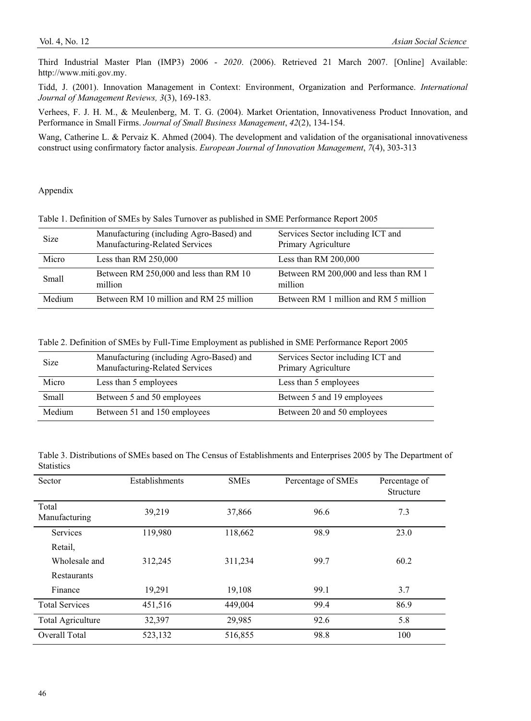Third Industrial Master Plan (IMP3) 2006 - *2020*. (2006). Retrieved 21 March 2007. [Online] Available: http://www.miti.gov.my.

Tidd, J. (2001). Innovation Management in Context: Environment, Organization and Performance. *International Journal of Management Reviews, 3*(3), 169-183.

Verhees, F. J. H. M., & Meulenberg, M. T. G. (2004). Market Orientation, Innovativeness Product Innovation, and Performance in Small Firms. *Journal of Small Business Management*, *42*(2), 134-154.

Wang, Catherine L. & Pervaiz K. Ahmed (2004). The development and validation of the organisational innovativeness construct using confirmatory factor analysis. *European Journal of Innovation Management*, *7*(4), 303-313

Appendix

|  |  | Table 1. Definition of SMEs by Sales Turnover as published in SME Performance Report 2005 |  |
|--|--|-------------------------------------------------------------------------------------------|--|
|  |  |                                                                                           |  |

| Size         | Manufacturing (including Agro-Based) and<br>Manufacturing-Related Services | Services Sector including ICT and<br>Primary Agriculture |
|--------------|----------------------------------------------------------------------------|----------------------------------------------------------|
| Micro        | Less than $RM$ 250,000                                                     | Less than RM $200,000$                                   |
| <b>Small</b> | Between RM 250,000 and less than RM 10<br>million                          | Between RM 200,000 and less than RM 1<br>million         |
| Medium       | Between RM 10 million and RM 25 million                                    | Between RM 1 million and RM 5 million                    |

Table 2. Definition of SMEs by Full-Time Employment as published in SME Performance Report 2005

| <b>Size</b>  | Manufacturing (including Agro-Based) and<br>Manufacturing-Related Services | Services Sector including ICT and<br>Primary Agriculture |
|--------------|----------------------------------------------------------------------------|----------------------------------------------------------|
| Micro        | Less than 5 employees                                                      | Less than 5 employees                                    |
| <b>Small</b> | Between 5 and 50 employees                                                 | Between 5 and 19 employees                               |
| Medium       | Between 51 and 150 employees                                               | Between 20 and 50 employees                              |

Table 3. Distributions of SMEs based on The Census of Establishments and Enterprises 2005 by The Department of **Statistics** 

| Sector                   | Establishments | <b>SMEs</b> | Percentage of SMEs | Percentage of<br>Structure |
|--------------------------|----------------|-------------|--------------------|----------------------------|
| Total<br>Manufacturing   | 39,219         | 37,866      | 96.6               | 7.3                        |
| Services                 | 119,980        | 118,662     | 98.9               | 23.0                       |
| Retail,                  |                |             |                    |                            |
| Wholesale and            | 312,245        | 311,234     | 99.7               | 60.2                       |
| Restaurants              |                |             |                    |                            |
| Finance                  | 19,291         | 19,108      | 99.1               | 3.7                        |
| <b>Total Services</b>    | 451,516        | 449,004     | 99.4               | 86.9                       |
| <b>Total Agriculture</b> | 32,397         | 29,985      | 92.6               | 5.8                        |
| Overall Total            | 523,132        | 516,855     | 98.8               | 100                        |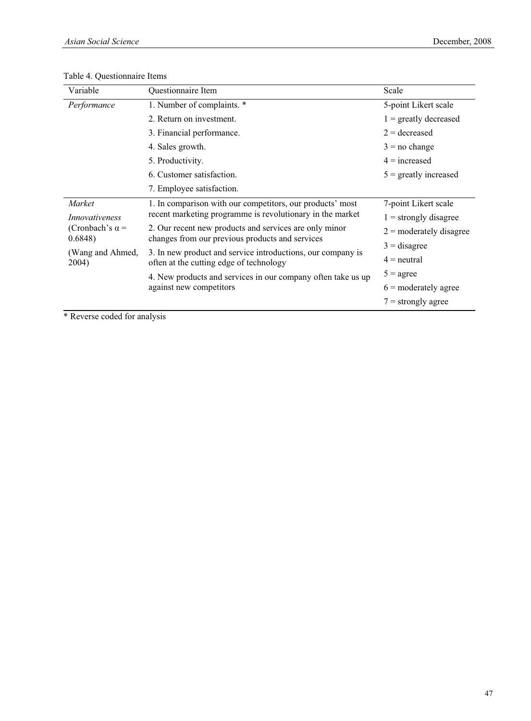# Table 4. Questionnaire Items

| Variable                                           | Questionnaire Item                                                                                     | Scale                     |
|----------------------------------------------------|--------------------------------------------------------------------------------------------------------|---------------------------|
| Performance                                        | 1. Number of complaints. *                                                                             | 5-point Likert scale      |
|                                                    | 2. Return on investment.                                                                               | $1 =$ greatly decreased   |
|                                                    | 3. Financial performance.                                                                              |                           |
|                                                    | 4. Sales growth.                                                                                       | $3 = no change$           |
|                                                    | 5. Productivity.                                                                                       | $4 = increased$           |
|                                                    | 6. Customer satisfaction.                                                                              | $5 =$ greatly increased   |
|                                                    | 7. Employee satisfaction.                                                                              |                           |
| <i>Market</i>                                      | 1. In comparison with our competitors, our products' most                                              | 7-point Likert scale      |
| Innovativeness<br>(Cronbach's $\alpha$ =<br>0.6848 | recent marketing programme is revolutionary in the market                                              | $1 =$ strongly disagree   |
|                                                    | 2. Our recent new products and services are only minor                                                 | $2 =$ moderately disagree |
|                                                    | changes from our previous products and services                                                        | $3 =$ disagree            |
| (Wang and Ahmed,<br>2004)                          | 3. In new product and service introductions, our company is<br>often at the cutting edge of technology | $4 =$ neutral             |
|                                                    | 4. New products and services in our company often take us up                                           | $5 = \text{agree}$        |
|                                                    | against new competitors                                                                                | $6 =$ moderately agree    |
|                                                    |                                                                                                        | $7 =$ strongly agree      |

\* Reverse coded for analysis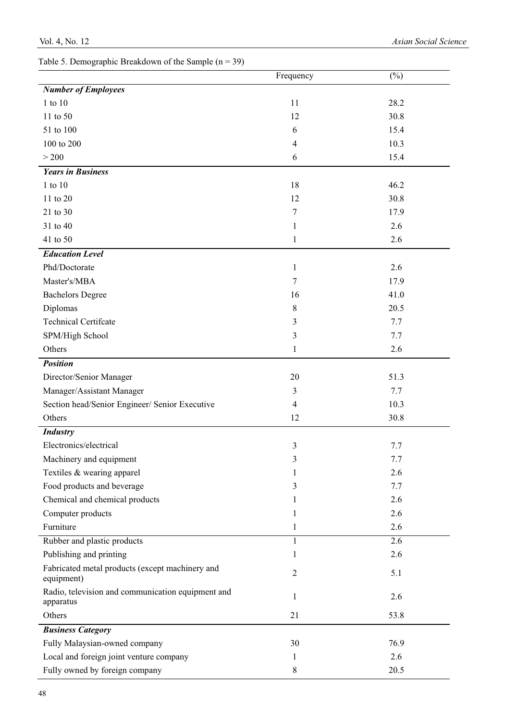|                                                                | Frequency      | $(\%)$ |
|----------------------------------------------------------------|----------------|--------|
| <b>Number of Employees</b>                                     |                |        |
| 1 to 10                                                        | 11             | 28.2   |
| 11 to 50                                                       | 12             | 30.8   |
| 51 to 100                                                      | 6              | 15.4   |
| 100 to 200                                                     | 4              | 10.3   |
| > 200                                                          | 6              | 15.4   |
| <b>Years in Business</b>                                       |                |        |
| 1 to 10                                                        | 18             | 46.2   |
| 11 to 20                                                       | 12             | 30.8   |
| 21 to 30                                                       | 7              | 17.9   |
| 31 to 40                                                       | $\mathbf{1}$   | 2.6    |
| 41 to 50                                                       | 1              | 2.6    |
| <b>Education Level</b>                                         |                |        |
| Phd/Doctorate                                                  | $\mathbf{1}$   | 2.6    |
| Master's/MBA                                                   | 7              | 17.9   |
| <b>Bachelors Degree</b>                                        | 16             | 41.0   |
| Diplomas                                                       | 8              | 20.5   |
| <b>Technical Certifcate</b>                                    | 3              | 7.7    |
| SPM/High School                                                | 3              | 7.7    |
| Others                                                         | $\mathbf{1}$   | 2.6    |
| <b>Position</b>                                                |                |        |
| Director/Senior Manager                                        | 20             | 51.3   |
| Manager/Assistant Manager                                      | 3              | 7.7    |
| Section head/Senior Engineer/ Senior Executive                 | 4              | 10.3   |
| Others                                                         | 12             | 30.8   |
| <b>Industry</b>                                                |                |        |
| Electronics/electrical                                         | 3              | 7.7    |
| Machinery and equipment                                        | 3              | 7.7    |
| Textiles & wearing apparel                                     | $\mathbf{1}$   | 2.6    |
| Food products and beverage                                     | 3              | 7.7    |
| Chemical and chemical products                                 | 1              | 2.6    |
| Computer products                                              | 1              | 2.6    |
| Furniture                                                      | 1              | 2.6    |
| Rubber and plastic products                                    | $\mathbf{1}$   | 2.6    |
| Publishing and printing                                        | 1              | 2.6    |
| Fabricated metal products (except machinery and<br>equipment)  | $\overline{c}$ | 5.1    |
| Radio, television and communication equipment and<br>apparatus | 1              | 2.6    |
| Others                                                         | 21             | 53.8   |
| <b>Business Category</b>                                       |                |        |
| Fully Malaysian-owned company                                  | 30             | 76.9   |
| Local and foreign joint venture company                        | 1              | 2.6    |
| Fully owned by foreign company                                 | 8              | 20.5   |